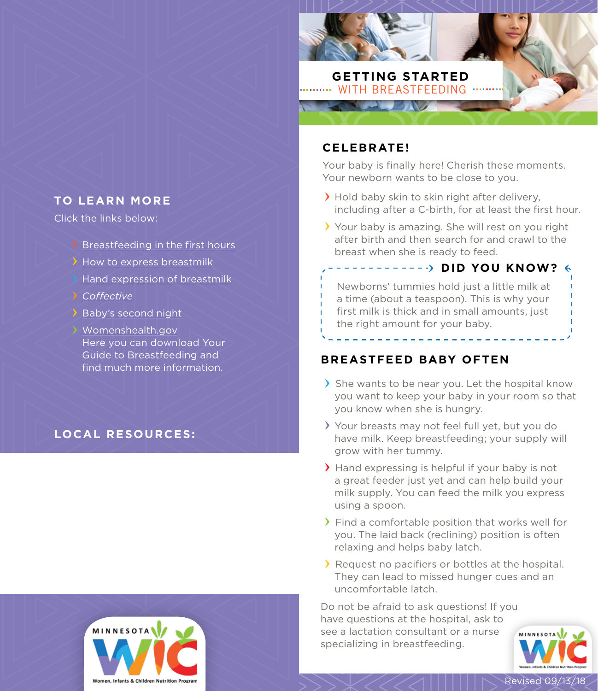

## **CELEBRATE!**

Your baby is finally here! Cherish these moments. Your newborn wants to be close to you.

- > Hold baby skin to skin right after delivery, including after a C-birth, for at least the first hour.
- Your baby is amazing. She will rest on you right after birth and then search for and crawl to the breast when she is ready to feed.

**FILLION DID YOU KNOW?** Newborns' tummies hold just a little milk at a time (about a teaspoon). This is why your first milk is thick and in small amounts, just the right amount for your baby.

# **BREASTFEED BABY OFTEN**

- She wants to be near you. Let the hospital know you want to keep your baby in your room so that you know when she is hungry.
- Your breasts may not feel full yet, but you do have milk. Keep breastfeeding; your supply will grow with her tummy.
- Hand expressing is helpful if your baby is not a great feeder just yet and can help build your milk supply. You can feed the milk you express using a spoon.
- Find a comfortable position that works well for you. The laid back (reclining) position is often relaxing and helps baby latch.
- Request no pacifiers or bottles at the hospital. They can lead to missed hunger cues and an uncomfortable latch.

Do not be afraid to ask questions! If you have questions at the hospital, ask to see a lactation consultant or a nurse specializing in breastfeeding.



# **TO LEARN MORE**

Click the links below:

- [Breastfeeding in the first hours](https://globalhealthmedia.org/portfolio-items/breastfeeding-in-the-first-hours-after-birth/)
- [How to express breastmilk](https://globalhealthmedia.org/portfolio-items/how-to-express-breastmilk/)
- [Hand expression of breastmilk](https://wicbreastfeeding.fns.usda.gov/pumping-and-hand-expression-basics)
- *[Coffective](https://coffective.com/learn-home/ )*
- **[Baby's second night](http://www.justbreastfeeding.com/breastfeeding/babys-second-night-jan-barger-rn-ibclc/)**

[Womenshealth.gov](http://Womenshealth.gov) Here you can download Your Guide to Breastfeeding and find much more information.

# **LOCAL RESOURCES:**